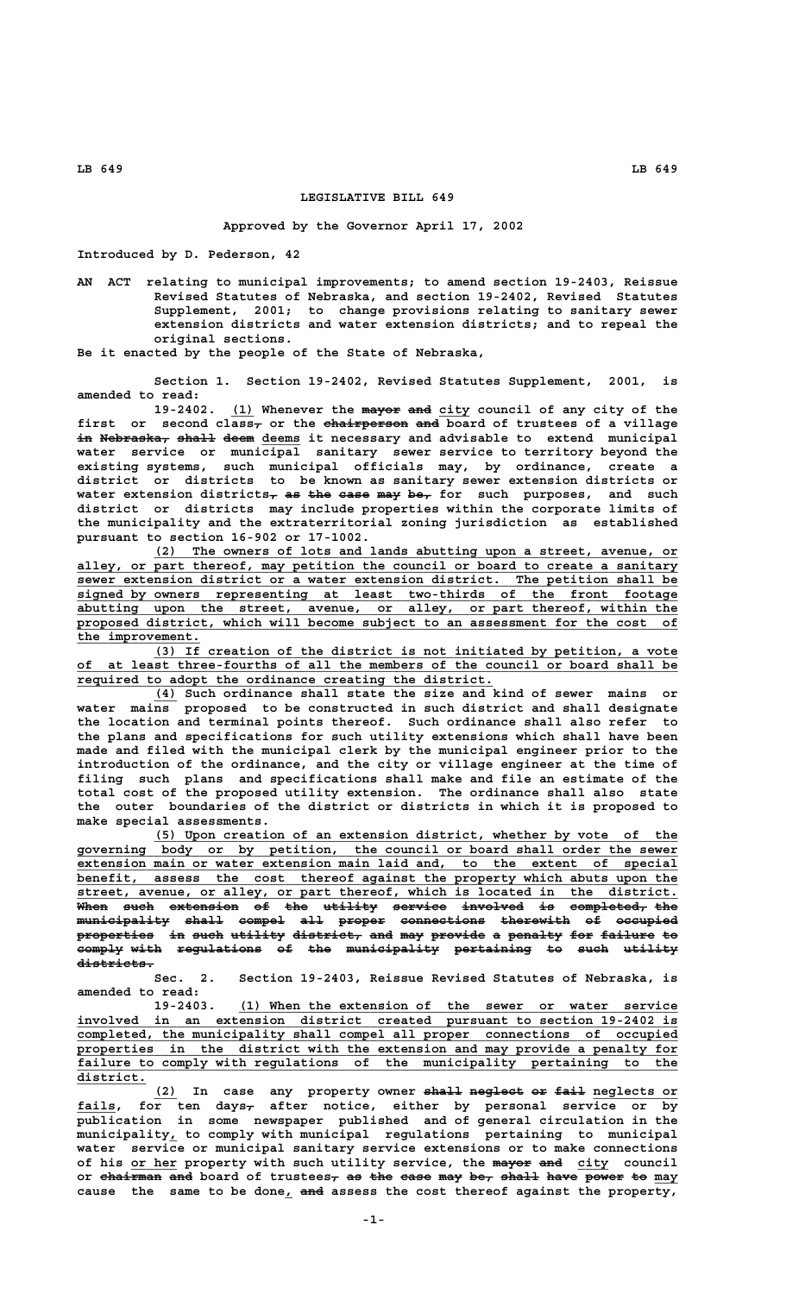## **LEGISLATIVE BILL 649**

## **Approved by the Governor April 17, 2002**

**Introduced by D. Pederson, 42**

**AN ACT relating to municipal improvements; to amend section 19-2403, Reissue Revised Statutes of Nebraska, and section 19-2402, Revised Statutes Supplement, 2001; to change provisions relating to sanitary sewer extension districts and water extension districts; and to repeal the original sections.**

**Be it enacted by the people of the State of Nebraska,**

**Section 1. Section 19-2402, Revised Statutes Supplement, 2001, is amended to read:**

19-2402. (1) Whenever the mayor and city council of any city of the first or second class<sub>r</sub> or the chairperson and board of trustees of a village in Nebraska, shall deem deems it necessary and advisable to extend municipal **water service or municipal sanitary sewer service to territory beyond the existing systems, such municipal officials may, by ordinance, create a district or districts to be known as sanitary sewer extension districts or** water extension districts<sub>7</sub> as the ease may be<sub>7</sub> for such purposes, and such **district or districts may include properties within the corporate limits of the municipality and the extraterritorial zoning jurisdiction as established pursuant to section 16-902 or 17-1002.**

 **\_\_\_\_\_\_\_\_\_\_\_\_\_\_\_\_\_\_\_\_\_\_\_\_\_\_\_\_\_\_\_\_\_\_\_\_\_\_\_\_\_\_\_\_\_\_\_\_\_\_\_\_\_\_\_\_\_\_\_\_\_\_\_\_\_\_\_\_ (2) The owners of lots and lands abutting upon a street, avenue, or** alley, or part thereof, may petition the council or board to create a sanitary  **\_\_\_\_\_\_\_\_\_\_\_\_\_\_\_\_\_\_\_\_\_\_\_\_\_\_\_\_\_\_\_\_\_\_\_\_\_\_\_\_\_\_\_\_\_\_\_\_\_\_\_\_\_\_\_\_\_\_\_\_\_\_\_\_\_\_\_\_\_\_\_\_\_\_\_\_\_\_ sewer extension district or a water extension district. The petition shall be \_\_\_\_\_\_\_\_\_\_\_\_\_\_\_\_\_\_\_\_\_\_\_\_\_\_\_\_\_\_\_\_\_\_\_\_\_\_\_\_\_\_\_\_\_\_\_\_\_\_\_\_\_\_\_\_\_\_\_\_\_\_\_\_\_\_\_\_\_\_\_\_\_\_\_\_\_\_ signed by owners representing at least two-thirds of the front footage \_\_\_\_\_\_\_\_\_\_\_\_\_\_\_\_\_\_\_\_\_\_\_\_\_\_\_\_\_\_\_\_\_\_\_\_\_\_\_\_\_\_\_\_\_\_\_\_\_\_\_\_\_\_\_\_\_\_\_\_\_\_\_\_\_\_\_\_\_\_\_\_\_\_\_\_\_\_ abutting upon the street, avenue, or alley, or part thereof, within the \_\_\_\_\_\_\_\_\_\_\_\_\_\_\_\_\_\_\_\_\_\_\_\_\_\_\_\_\_\_\_\_\_\_\_\_\_\_\_\_\_\_\_\_\_\_\_\_\_\_\_\_\_\_\_\_\_\_\_\_\_\_\_\_\_\_\_\_\_\_\_\_\_\_\_\_\_\_ proposed district, which will become subject to an assessment for the cost of** the improvement.

 **\_\_\_\_\_\_\_\_\_\_\_\_\_\_\_\_\_\_\_\_\_\_\_\_\_\_\_\_\_\_\_\_\_\_\_\_\_\_\_\_\_\_\_\_\_\_\_\_\_\_\_\_\_\_\_\_\_\_\_\_\_\_\_\_\_\_\_\_ (3) If creation of the district is not initiated by petition, a vote \_\_\_\_\_\_\_\_\_\_\_\_\_\_\_\_\_\_\_\_\_\_\_\_\_\_\_\_\_\_\_\_\_\_\_\_\_\_\_\_\_\_\_\_\_\_\_\_\_\_\_\_\_\_\_\_\_\_\_\_\_\_\_\_\_\_\_\_\_\_\_\_\_\_\_\_\_\_ of at least three-fourths of all the members of the council or board shall be \_\_\_\_\_\_\_\_\_\_\_\_\_\_\_\_\_\_\_\_\_\_\_\_\_\_\_\_\_\_\_\_\_\_\_\_\_\_\_\_\_\_\_\_\_\_\_\_\_\_\_\_\_\_ required to adopt the ordinance creating the district.**

 **\_\_\_ (4) Such ordinance shall state the size and kind of sewer mains or water mains proposed to be constructed in such district and shall designate the location and terminal points thereof. Such ordinance shall also refer to the plans and specifications for such utility extensions which shall have been made and filed with the municipal clerk by the municipal engineer prior to the introduction of the ordinance, and the city or village engineer at the time of filing such plans and specifications shall make and file an estimate of the total cost of the proposed utility extension. The ordinance shall also state the outer boundaries of the district or districts in which it is proposed to make special assessments.**

 **\_\_\_\_\_\_\_\_\_\_\_\_\_\_\_\_\_\_\_\_\_\_\_\_\_\_\_\_\_\_\_\_\_\_\_\_\_\_\_\_\_\_\_\_\_\_\_\_\_\_\_\_\_\_\_\_\_\_\_\_\_\_\_\_\_\_\_\_ (5) Upon creation of an extension district, whether by vote of the \_\_\_\_\_\_\_\_\_\_\_\_\_\_\_\_\_\_\_\_\_\_\_\_\_\_\_\_\_\_\_\_\_\_\_\_\_\_\_\_\_\_\_\_\_\_\_\_\_\_\_\_\_\_\_\_\_\_\_\_\_\_\_\_\_\_\_\_\_\_\_\_\_\_\_\_\_\_ governing body or by petition, the council or board shall order the sewer \_\_\_\_\_\_\_\_\_\_\_\_\_\_\_\_\_\_\_\_\_\_\_\_\_\_\_\_\_\_\_\_\_\_\_\_\_\_\_\_\_\_\_\_\_\_\_\_\_\_\_\_\_\_\_\_\_\_\_\_\_\_\_\_\_\_\_\_\_\_\_\_\_\_\_\_\_\_ extension main or water extension main laid and, to the extent of special** benefit, assess the cost thereof against the property which abuts upon the  **\_\_\_\_\_\_\_\_\_\_\_\_\_\_\_\_\_\_\_\_\_\_\_\_\_\_\_\_\_\_\_\_\_\_\_\_\_\_\_\_\_\_\_\_\_\_\_\_\_\_\_\_\_\_\_\_\_\_\_\_\_\_\_\_\_\_\_\_\_\_\_\_\_\_\_\_\_\_ street, avenue, or alley, or part thereof, which is located in the district. When such extension of the utility service involved is completed, the ———— ———— ————————— —— ——— ——————— ——————— ———————— —— —————————— —— municipality shall compel all proper connections therewith of occupied ———————————— ————— —————— ——— —————— ——————————— ————————— —— ———————** properties in such utility district, and may provide a penalty for failure to **comply with regulations of the municipality pertaining to such utility districts. ——————————**

> **Sec. 2. Section 19-2403, Reissue Revised Statutes of Nebraska, is amended to read:**

 **\_\_\_\_\_\_\_\_\_\_\_\_\_\_\_\_\_\_\_\_\_\_\_\_\_\_\_\_\_\_\_\_\_\_\_\_\_\_\_\_\_\_\_\_\_\_\_\_\_\_\_\_\_\_\_\_\_ 19-2403. (1) When the extension of the sewer or water service \_\_\_\_\_\_\_\_\_\_\_\_\_\_\_\_\_\_\_\_\_\_\_\_\_\_\_\_\_\_\_\_\_\_\_\_\_\_\_\_\_\_\_\_\_\_\_\_\_\_\_\_\_\_\_\_\_\_\_\_\_\_\_\_\_\_\_\_\_\_\_\_\_\_\_\_\_\_ involved in an extension district created pursuant to section 19-2402 is \_\_\_\_\_\_\_\_\_\_\_\_\_\_\_\_\_\_\_\_\_\_\_\_\_\_\_\_\_\_\_\_\_\_\_\_\_\_\_\_\_\_\_\_\_\_\_\_\_\_\_\_\_\_\_\_\_\_\_\_\_\_\_\_\_\_\_\_\_\_\_\_\_\_\_\_\_\_ completed, the municipality shall compel all proper connections of occupied \_\_\_\_\_\_\_\_\_\_\_\_\_\_\_\_\_\_\_\_\_\_\_\_\_\_\_\_\_\_\_\_\_\_\_\_\_\_\_\_\_\_\_\_\_\_\_\_\_\_\_\_\_\_\_\_\_\_\_\_\_\_\_\_\_\_\_\_\_\_\_\_\_\_\_\_\_\_ properties in the district with the extension and may provide a penalty for** failure to comply with regulations of the municipality pertaining to the  **district. \_\_\_\_\_\_\_\_\_**

(2) In case any property owner shall neglect or fail neglects or  **\_\_\_\_\_ — fails, for ten days, after notice, either by personal service or by publication in some newspaper published and of general circulation in the \_ municipality, to comply with municipal regulations pertaining to municipal water service or municipal sanitary service extensions or to make connections** of his <u>or her</u> property with such utility service, the mayor and city council or chairman and board of trustees<sub>7</sub> as the case may be, shall have power to may cause the same to be done<sub>l</sub> and assess the cost thereof against the property,